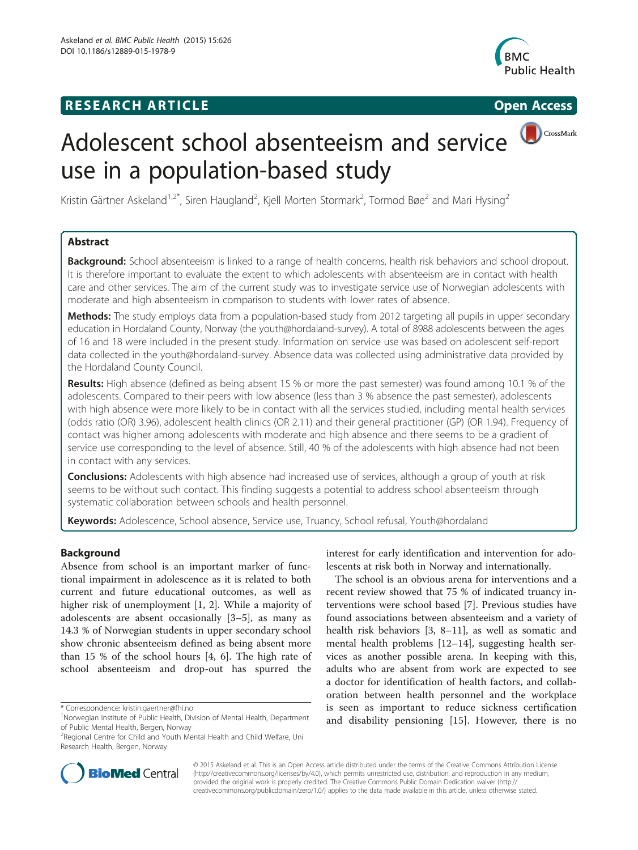# **RESEARCH ARTICLE Example 2014 12:30 The SEAR CHIPS 2014 12:30 The Open Access**



CrossMark

# Adolescent school absenteeism and service use in a population-based study

Kristin Gärtner Askeland $^{1,2^*}$ , Siren Haugland<sup>2</sup>, Kjell Morten Stormark<sup>2</sup>, Tormod Bøe<sup>2</sup> and Mari Hysing<sup>2</sup>

# Abstract

**Background:** School absenteeism is linked to a range of health concerns, health risk behaviors and school dropout. It is therefore important to evaluate the extent to which adolescents with absenteeism are in contact with health care and other services. The aim of the current study was to investigate service use of Norwegian adolescents with moderate and high absenteeism in comparison to students with lower rates of absence.

Methods: The study employs data from a population-based study from 2012 targeting all pupils in upper secondary education in Hordaland County, Norway (the youth@hordaland-survey). A total of 8988 adolescents between the ages of 16 and 18 were included in the present study. Information on service use was based on adolescent self-report data collected in the youth@hordaland-survey. Absence data was collected using administrative data provided by the Hordaland County Council.

Results: High absence (defined as being absent 15 % or more the past semester) was found among 10.1 % of the adolescents. Compared to their peers with low absence (less than 3 % absence the past semester), adolescents with high absence were more likely to be in contact with all the services studied, including mental health services (odds ratio (OR) 3.96), adolescent health clinics (OR 2.11) and their general practitioner (GP) (OR 1.94). Frequency of contact was higher among adolescents with moderate and high absence and there seems to be a gradient of service use corresponding to the level of absence. Still, 40 % of the adolescents with high absence had not been in contact with any services.

**Conclusions:** Adolescents with high absence had increased use of services, although a group of youth at risk seems to be without such contact. This finding suggests a potential to address school absenteeism through systematic collaboration between schools and health personnel.

Keywords: Adolescence, School absence, Service use, Truancy, School refusal, Youth@hordaland

# Background

Absence from school is an important marker of functional impairment in adolescence as it is related to both current and future educational outcomes, as well as higher risk of unemployment [[1, 2](#page-7-0)]. While a majority of adolescents are absent occasionally [\[3](#page-7-0)–[5\]](#page-8-0), as many as 14.3 % of Norwegian students in upper secondary school show chronic absenteeism defined as being absent more than 15 % of the school hours [[4, 6\]](#page-8-0). The high rate of school absenteeism and drop-out has spurred the

\* Correspondence: [kristin.gaertner@fhi.no](mailto:kristin.gaertner@fhi.no) <sup>1</sup>

interest for early identification and intervention for adolescents at risk both in Norway and internationally.

The school is an obvious arena for interventions and a recent review showed that 75 % of indicated truancy interventions were school based [\[7](#page-8-0)]. Previous studies have found associations between absenteeism and a variety of health risk behaviors [[3,](#page-7-0) [8](#page-8-0)–[11\]](#page-8-0), as well as somatic and mental health problems [[12](#page-8-0)–[14\]](#page-8-0), suggesting health services as another possible arena. In keeping with this, adults who are absent from work are expected to see a doctor for identification of health factors, and collaboration between health personnel and the workplace is seen as important to reduce sickness certification and disability pensioning [[15](#page-8-0)]. However, there is no



© 2015 Askeland et al. This is an Open Access article distributed under the terms of the Creative Commons Attribution License [\(http://creativecommons.org/licenses/by/4.0\)](http://creativecommons.org/licenses/by/4.0), which permits unrestricted use, distribution, and reproduction in any medium, provided the original work is properly credited. The Creative Commons Public Domain Dedication waiver [\(http://](http://creativecommons.org/publicdomain/zero/1.0/) [creativecommons.org/publicdomain/zero/1.0/\)](http://creativecommons.org/publicdomain/zero/1.0/) applies to the data made available in this article, unless otherwise stated.

Norwegian Institute of Public Health, Division of Mental Health, Department of Public Mental Health, Bergen, Norway

<sup>&</sup>lt;sup>2</sup> Regional Centre for Child and Youth Mental Health and Child Welfare, Uni Research Health, Bergen, Norway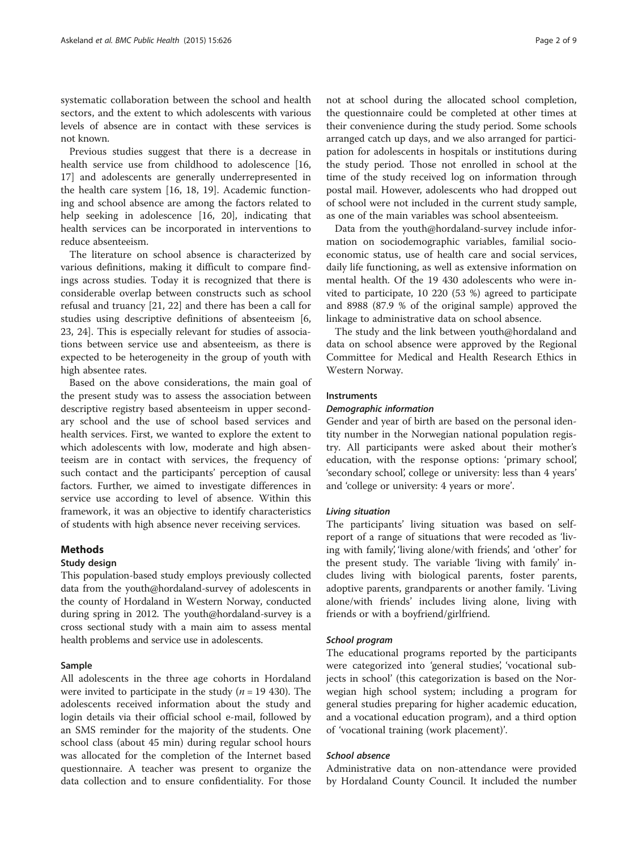systematic collaboration between the school and health sectors, and the extent to which adolescents with various levels of absence are in contact with these services is not known.

Previous studies suggest that there is a decrease in health service use from childhood to adolescence [[16](#page-8-0), [17\]](#page-8-0) and adolescents are generally underrepresented in the health care system [[16, 18, 19](#page-8-0)]. Academic functioning and school absence are among the factors related to help seeking in adolescence [[16](#page-8-0), [20](#page-8-0)], indicating that health services can be incorporated in interventions to reduce absenteeism.

The literature on school absence is characterized by various definitions, making it difficult to compare findings across studies. Today it is recognized that there is considerable overlap between constructs such as school refusal and truancy [[21, 22\]](#page-8-0) and there has been a call for studies using descriptive definitions of absenteeism [\[6](#page-8-0), [23, 24\]](#page-8-0). This is especially relevant for studies of associations between service use and absenteeism, as there is expected to be heterogeneity in the group of youth with high absentee rates.

Based on the above considerations, the main goal of the present study was to assess the association between descriptive registry based absenteeism in upper secondary school and the use of school based services and health services. First, we wanted to explore the extent to which adolescents with low, moderate and high absenteeism are in contact with services, the frequency of such contact and the participants' perception of causal factors. Further, we aimed to investigate differences in service use according to level of absence. Within this framework, it was an objective to identify characteristics of students with high absence never receiving services.

# Methods

#### Study design

This population-based study employs previously collected data from the youth@hordaland-survey of adolescents in the county of Hordaland in Western Norway, conducted during spring in 2012. The youth@hordaland-survey is a cross sectional study with a main aim to assess mental health problems and service use in adolescents.

# Sample

All adolescents in the three age cohorts in Hordaland were invited to participate in the study ( $n = 19$  430). The adolescents received information about the study and login details via their official school e-mail, followed by an SMS reminder for the majority of the students. One school class (about 45 min) during regular school hours was allocated for the completion of the Internet based questionnaire. A teacher was present to organize the data collection and to ensure confidentiality. For those

not at school during the allocated school completion, the questionnaire could be completed at other times at their convenience during the study period. Some schools arranged catch up days, and we also arranged for participation for adolescents in hospitals or institutions during the study period. Those not enrolled in school at the time of the study received log on information through postal mail. However, adolescents who had dropped out of school were not included in the current study sample, as one of the main variables was school absenteeism.

Data from the youth@hordaland-survey include information on sociodemographic variables, familial socioeconomic status, use of health care and social services, daily life functioning, as well as extensive information on mental health. Of the 19 430 adolescents who were invited to participate, 10 220 (53 %) agreed to participate and 8988 (87.9 % of the original sample) approved the linkage to administrative data on school absence.

The study and the link between youth@hordaland and data on school absence were approved by the Regional Committee for Medical and Health Research Ethics in Western Norway.

## Instruments

# Demographic information

Gender and year of birth are based on the personal identity number in the Norwegian national population registry. All participants were asked about their mother's education, with the response options: 'primary school', 'secondary school', college or university: less than 4 years' and 'college or university: 4 years or more'.

# Living situation

The participants' living situation was based on selfreport of a range of situations that were recoded as 'living with family', 'living alone/with friends', and 'other' for the present study. The variable 'living with family' includes living with biological parents, foster parents, adoptive parents, grandparents or another family. 'Living alone/with friends' includes living alone, living with friends or with a boyfriend/girlfriend.

#### School program

The educational programs reported by the participants were categorized into 'general studies', 'vocational subjects in school' (this categorization is based on the Norwegian high school system; including a program for general studies preparing for higher academic education, and a vocational education program), and a third option of 'vocational training (work placement)'.

## School absence

Administrative data on non-attendance were provided by Hordaland County Council. It included the number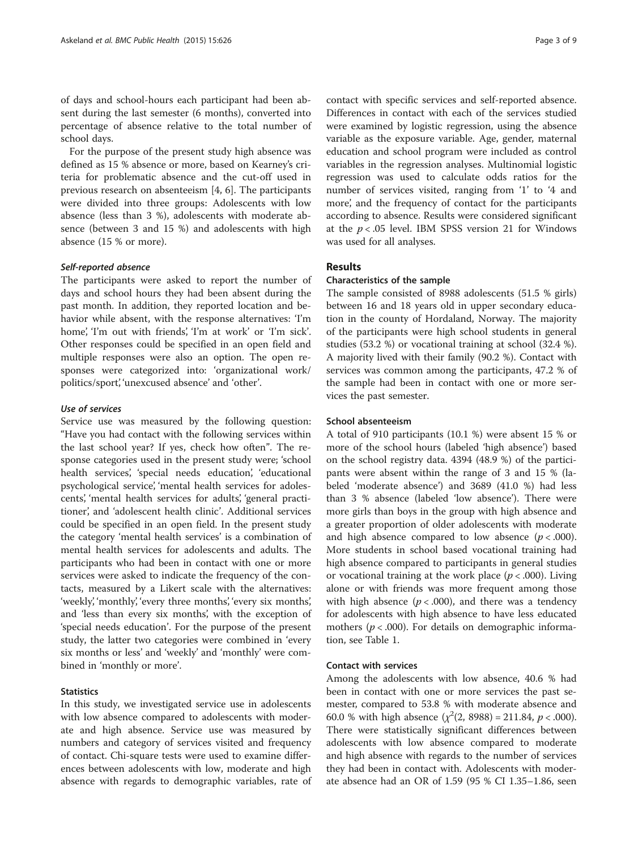of days and school-hours each participant had been absent during the last semester (6 months), converted into percentage of absence relative to the total number of school days.

For the purpose of the present study high absence was defined as 15 % absence or more, based on Kearney's criteria for problematic absence and the cut-off used in previous research on absenteeism [\[4](#page-8-0), [6](#page-8-0)]. The participants were divided into three groups: Adolescents with low absence (less than 3 %), adolescents with moderate absence (between 3 and 15 %) and adolescents with high absence (15 % or more).

#### Self-reported absence

The participants were asked to report the number of days and school hours they had been absent during the past month. In addition, they reported location and behavior while absent, with the response alternatives: 'I'm home', 'I'm out with friends', 'I'm at work' or 'I'm sick'. Other responses could be specified in an open field and multiple responses were also an option. The open responses were categorized into: 'organizational work/ politics/sport', 'unexcused absence' and 'other'.

# Use of services

Service use was measured by the following question: "Have you had contact with the following services within the last school year? If yes, check how often". The response categories used in the present study were; 'school health services', 'special needs education', 'educational psychological service', 'mental health services for adolescents', 'mental health services for adults', 'general practitioner', and 'adolescent health clinic'. Additional services could be specified in an open field. In the present study the category 'mental health services' is a combination of mental health services for adolescents and adults. The participants who had been in contact with one or more services were asked to indicate the frequency of the contacts, measured by a Likert scale with the alternatives: 'weekly', 'monthly', 'every three months', 'every six months', and 'less than every six months', with the exception of 'special needs education'. For the purpose of the present study, the latter two categories were combined in 'every six months or less' and 'weekly' and 'monthly' were combined in 'monthly or more'.

# **Statistics**

In this study, we investigated service use in adolescents with low absence compared to adolescents with moderate and high absence. Service use was measured by numbers and category of services visited and frequency of contact. Chi-square tests were used to examine differences between adolescents with low, moderate and high absence with regards to demographic variables, rate of

contact with specific services and self-reported absence. Differences in contact with each of the services studied were examined by logistic regression, using the absence variable as the exposure variable. Age, gender, maternal education and school program were included as control variables in the regression analyses. Multinomial logistic regression was used to calculate odds ratios for the number of services visited, ranging from '1' to '4 and more', and the frequency of contact for the participants according to absence. Results were considered significant at the  $p < .05$  level. IBM SPSS version 21 for Windows was used for all analyses.

# Results

#### Characteristics of the sample

The sample consisted of 8988 adolescents (51.5 % girls) between 16 and 18 years old in upper secondary education in the county of Hordaland, Norway. The majority of the participants were high school students in general studies (53.2 %) or vocational training at school (32.4 %). A majority lived with their family (90.2 %). Contact with services was common among the participants, 47.2 % of the sample had been in contact with one or more services the past semester.

#### School absenteeism

A total of 910 participants (10.1 %) were absent 15 % or more of the school hours (labeled 'high absence') based on the school registry data. 4394 (48.9 %) of the participants were absent within the range of 3 and 15 % (labeled 'moderate absence') and 3689 (41.0 %) had less than 3 % absence (labeled 'low absence'). There were more girls than boys in the group with high absence and a greater proportion of older adolescents with moderate and high absence compared to low absence  $(p < .000)$ . More students in school based vocational training had high absence compared to participants in general studies or vocational training at the work place ( $p < .000$ ). Living alone or with friends was more frequent among those with high absence ( $p < .000$ ), and there was a tendency for adolescents with high absence to have less educated mothers ( $p < .000$ ). For details on demographic information, see Table [1](#page-3-0).

#### Contact with services

Among the adolescents with low absence, 40.6 % had been in contact with one or more services the past semester, compared to 53.8 % with moderate absence and 60.0 % with high absence  $(\chi^2(2, 8988) = 211.84, p < .000)$ . There were statistically significant differences between adolescents with low absence compared to moderate and high absence with regards to the number of services they had been in contact with. Adolescents with moderate absence had an OR of 1.59 (95 % CI 1.35–1.86, seen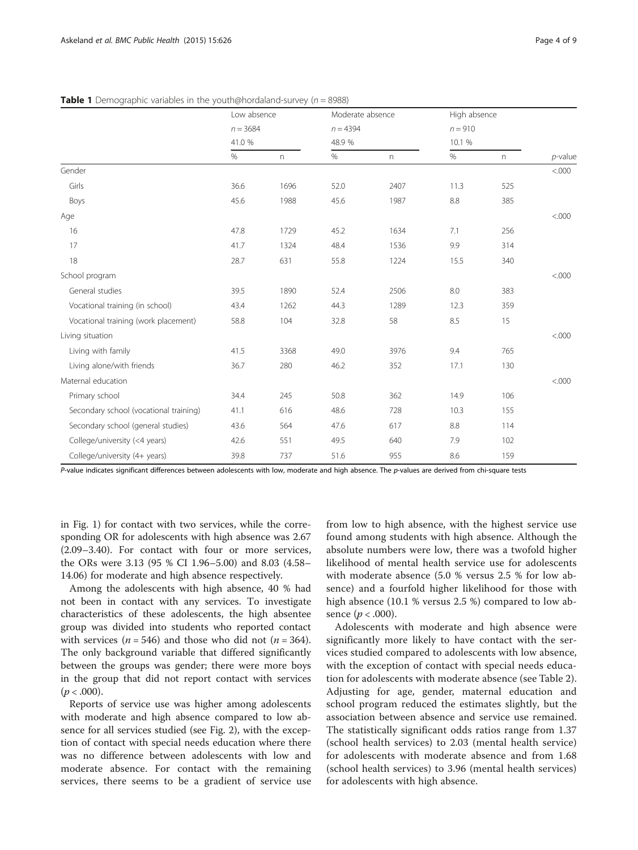|                                        | Low absence         |      | Moderate absence    |      | High absence        |                |            |
|----------------------------------------|---------------------|------|---------------------|------|---------------------|----------------|------------|
|                                        | $n = 3684$<br>41.0% |      | $n = 4394$<br>48.9% |      | $n = 910$<br>10.1 % |                |            |
|                                        |                     |      |                     |      |                     |                |            |
|                                        | $\%$                | n    | $\%$                | n    | $\%$                | $\,$ $\,$ $\,$ | $p$ -value |
| Gender                                 |                     |      |                     |      |                     |                | &000.<br>  |
| Girls                                  | 36.6                | 1696 | 52.0                | 2407 | 11.3                | 525            |            |
| Boys                                   | 45.6                | 1988 | 45.6                | 1987 | 8.8                 | 385            |            |
| Age                                    |                     |      |                     |      |                     |                | < .000     |
| 16                                     | 47.8                | 1729 | 45.2                | 1634 | 7.1                 | 256            |            |
| 17                                     | 41.7                | 1324 | 48.4                | 1536 | 9.9                 | 314            |            |
| 18                                     | 28.7                | 631  | 55.8                | 1224 | 15.5                | 340            |            |
| School program                         |                     |      |                     |      |                     |                | < .000     |
| General studies                        | 39.5                | 1890 | 52.4                | 2506 | 8.0                 | 383            |            |
| Vocational training (in school)        | 43.4                | 1262 | 44.3                | 1289 | 12.3                | 359            |            |
| Vocational training (work placement)   | 58.8                | 104  | 32.8                | 58   | 8.5                 | 15             |            |
| Living situation                       |                     |      |                     |      |                     |                | < .000     |
| Living with family                     | 41.5                | 3368 | 49.0                | 3976 | 9.4                 | 765            |            |
| Living alone/with friends              | 36.7                | 280  | 46.2                | 352  | 17.1                | 130            |            |
| Maternal education                     |                     |      |                     |      |                     |                | < .000     |
| Primary school                         | 34.4                | 245  | 50.8                | 362  | 14.9                | 106            |            |
| Secondary school (vocational training) | 41.1                | 616  | 48.6                | 728  | 10.3                | 155            |            |
| Secondary school (general studies)     | 43.6                | 564  | 47.6                | 617  | 8.8                 | 114            |            |
| College/university (<4 years)          | 42.6                | 551  | 49.5                | 640  | 7.9                 | 102            |            |
| College/university (4+ years)          | 39.8                | 737  | 51.6                | 955  | 8.6                 | 159            |            |

<span id="page-3-0"></span>**Table 1** Demographic variables in the youth@hordaland-survey ( $n = 8988$ )

P-value indicates significant differences between adolescents with low, moderate and high absence. The p-values are derived from chi-square tests

in Fig. [1](#page-4-0)) for contact with two services, while the corresponding OR for adolescents with high absence was 2.67 (2.09–3.40). For contact with four or more services, the ORs were 3.13 (95 % CI 1.96–5.00) and 8.03 (4.58– 14.06) for moderate and high absence respectively.

Among the adolescents with high absence, 40 % had not been in contact with any services. To investigate characteristics of these adolescents, the high absentee group was divided into students who reported contact with services ( $n = 546$ ) and those who did not ( $n = 364$ ). The only background variable that differed significantly between the groups was gender; there were more boys in the group that did not report contact with services  $(p < .000)$ .

Reports of service use was higher among adolescents with moderate and high absence compared to low absence for all services studied (see Fig. [2](#page-4-0)), with the exception of contact with special needs education where there was no difference between adolescents with low and moderate absence. For contact with the remaining services, there seems to be a gradient of service use

from low to high absence, with the highest service use found among students with high absence. Although the absolute numbers were low, there was a twofold higher likelihood of mental health service use for adolescents with moderate absence (5.0 % versus 2.5 % for low absence) and a fourfold higher likelihood for those with high absence (10.1 % versus 2.5 %) compared to low absence  $(p < .000)$ .

Adolescents with moderate and high absence were significantly more likely to have contact with the services studied compared to adolescents with low absence, with the exception of contact with special needs education for adolescents with moderate absence (see Table [2](#page-5-0)). Adjusting for age, gender, maternal education and school program reduced the estimates slightly, but the association between absence and service use remained. The statistically significant odds ratios range from 1.37 (school health services) to 2.03 (mental health service) for adolescents with moderate absence and from 1.68 (school health services) to 3.96 (mental health services) for adolescents with high absence.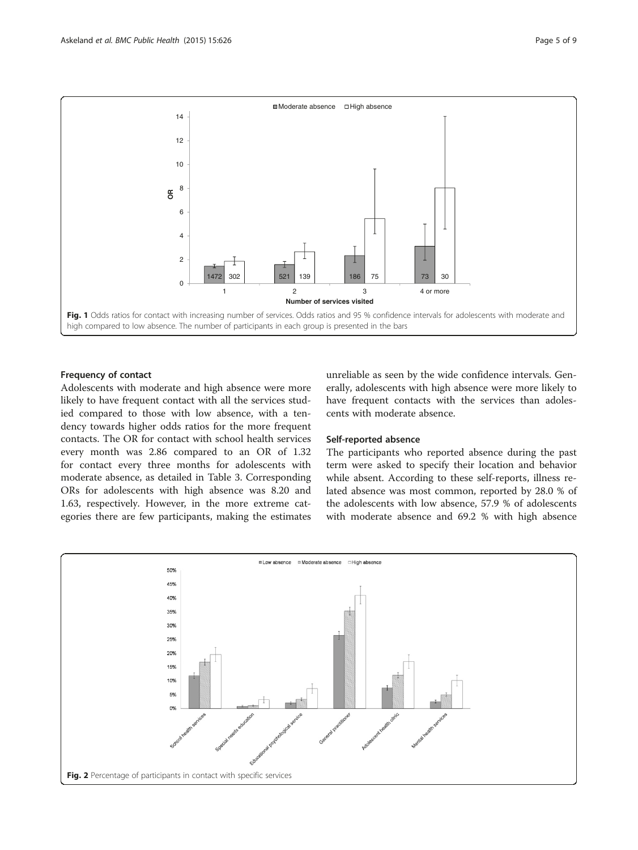<span id="page-4-0"></span>

# Frequency of contact

Adolescents with moderate and high absence were more likely to have frequent contact with all the services studied compared to those with low absence, with a tendency towards higher odds ratios for the more frequent contacts. The OR for contact with school health services every month was 2.86 compared to an OR of 1.32 for contact every three months for adolescents with moderate absence, as detailed in Table [3](#page-5-0). Corresponding ORs for adolescents with high absence was 8.20 and 1.63, respectively. However, in the more extreme categories there are few participants, making the estimates

unreliable as seen by the wide confidence intervals. Generally, adolescents with high absence were more likely to have frequent contacts with the services than adolescents with moderate absence.

# Self-reported absence

The participants who reported absence during the past term were asked to specify their location and behavior while absent. According to these self-reports, illness related absence was most common, reported by 28.0 % of the adolescents with low absence, 57.9 % of adolescents with moderate absence and 69.2 % with high absence

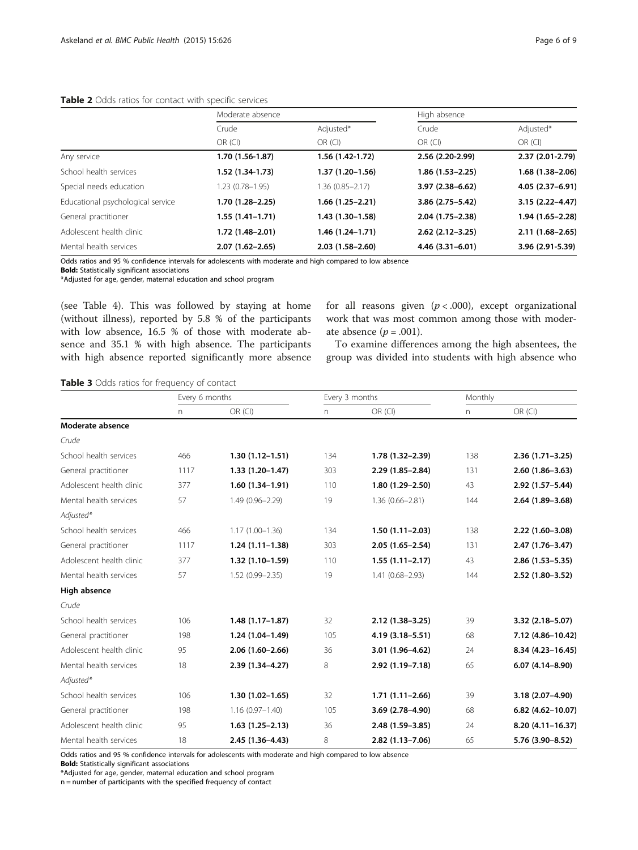# <span id="page-5-0"></span>Table 2 Odds ratios for contact with specific services

|                                   | Moderate absence    |                   | High absence        |                     |  |
|-----------------------------------|---------------------|-------------------|---------------------|---------------------|--|
|                                   | Crude               | Adjusted*         | Crude               | Adjusted*           |  |
|                                   | $OR$ (CI)           | $OR$ (CI)         | $OR$ (CI)           | $OR$ (CI)           |  |
| Any service                       | 1.70 (1.56-1.87)    | 1.56 (1.42-1.72)  | 2.56 (2.20-2.99)    | 2.37 (2.01-2.79)    |  |
| School health services            | 1.52 (1.34-1.73)    | $1.37(1.20-1.56)$ | 1.86 (1.53-2.25)    | $1.68(1.38-2.06)$   |  |
| Special needs education           | $1.23(0.78 - 1.95)$ | 1.36 (0.85-2.17)  | $3.97(2.38 - 6.62)$ | 4.05 (2.37-6.91)    |  |
| Educational psychological service | 1.70 (1.28–2.25)    | 1.66 (1.25–2.21)  | $3.86(2.75-5.42)$   | $3.15(2.22 - 4.47)$ |  |
| General practitioner              | 1.55 (1.41–1.71)    | 1.43 (1.30-1.58)  | $2.04(1.75-2.38)$   | 1.94 (1.65-2.28)    |  |
| Adolescent health clinic          | 1.72 (1.48–2.01)    | 1.46 (1.24–1.71)  | $2.62(2.12-3.25)$   | $2.11(1.68 - 2.65)$ |  |
| Mental health services            | $2.07(1.62 - 2.65)$ | $2.03(1.58-2.60)$ | $4.46(3.31 - 6.01)$ | 3.96 (2.91-5.39)    |  |

Odds ratios and 95 % confidence intervals for adolescents with moderate and high compared to low absence

Bold: Statistically significant associations

\*Adjusted for age, gender, maternal education and school program

(see Table [4](#page-6-0)). This was followed by staying at home (without illness), reported by 5.8 % of the participants with low absence, 16.5 % of those with moderate absence and 35.1 % with high absence. The participants with high absence reported significantly more absence for all reasons given  $(p < .000)$ , except organizational work that was most common among those with moderate absence  $(p=.001)$ .

To examine differences among the high absentees, the group was divided into students with high absence who

# Table 3 Odds ratios for frequency of contact

|                          | Every 6 months |                     | Every 3 months |                     | Monthly |                     |
|--------------------------|----------------|---------------------|----------------|---------------------|---------|---------------------|
|                          | n              | OR (CI)             | n              | OR (CI)             | n       | OR (Cl)             |
| Moderate absence         |                |                     |                |                     |         |                     |
| Crude                    |                |                     |                |                     |         |                     |
| School health services   | 466            | $1.30(1.12 - 1.51)$ | 134            | 1.78 (1.32-2.39)    | 138     | $2.36(1.71 - 3.25)$ |
| General practitioner     | 1117           | $1.33(1.20-1.47)$   | 303            | $2.29(1.85 - 2.84)$ | 131     | $2.60(1.86 - 3.63)$ |
| Adolescent health clinic | 377            | $1.60(1.34-1.91)$   | 110            | $1.80(1.29 - 2.50)$ | 43      | 2.92 (1.57-5.44)    |
| Mental health services   | 57             | 1.49 (0.96-2.29)    | 19             | $1.36(0.66 - 2.81)$ | 144     | $2.64(1.89 - 3.68)$ |
| Adjusted*                |                |                     |                |                     |         |                     |
| School health services   | 466            | $1.17(1.00 - 1.36)$ | 134            | $1.50(1.11 - 2.03)$ | 138     | $2.22(1.60-3.08)$   |
| General practitioner     | 1117           | $1.24(1.11-1.38)$   | 303            | $2.05(1.65 - 2.54)$ | 131     | $2.47(1.76 - 3.47)$ |
| Adolescent health clinic | 377            | $1.32(1.10-1.59)$   | 110            | $1.55(1.11-2.17)$   | 43      | $2.86(1.53 - 5.35)$ |
| Mental health services   | 57             | $1.52(0.99 - 2.35)$ | 19             | $1.41(0.68 - 2.93)$ | 144     | $2.52(1.80-3.52)$   |
| High absence             |                |                     |                |                     |         |                     |
| Crude                    |                |                     |                |                     |         |                     |
| School health services   | 106            | $1.48(1.17-1.87)$   | 32             | $2.12(1.38 - 3.25)$ | 39      | $3.32(2.18 - 5.07)$ |
| General practitioner     | 198            | $1.24(1.04-1.49)$   | 105            | 4.19 (3.18 - 5.51)  | 68      | 7.12 (4.86-10.42)   |
| Adolescent health clinic | 95             | $2.06(1.60-2.66)$   | 36             | 3.01 (1.96-4.62)    | 24      | 8.34 (4.23-16.45)   |
| Mental health services   | 18             | 2.39 (1.34-4.27)    | 8              | 2.92 (1.19-7.18)    | 65      | $6.07(4.14 - 8.90)$ |
| Adjusted*                |                |                     |                |                     |         |                     |
| School health services   | 106            | $1.30(1.02 - 1.65)$ | 32             | $1.71(1.11 - 2.66)$ | 39      | $3.18(2.07 - 4.90)$ |
| General practitioner     | 198            | $1.16(0.97 - 1.40)$ | 105            | 3.69 (2.78-4.90)    | 68      | 6.82 (4.62-10.07)   |
| Adolescent health clinic | 95             | $1.63(1.25-2.13)$   | 36             | 2.48 (1.59-3.85)    | 24      | 8.20 (4.11-16.37)   |
| Mental health services   | 18             | 2.45 (1.36-4.43)    | 8              | $2.82(1.13 - 7.06)$ | 65      | 5.76 (3.90-8.52)    |

Odds ratios and 95 % confidence intervals for adolescents with moderate and high compared to low absence

Bold: Statistically significant associations

\*Adjusted for age, gender, maternal education and school program

n = number of participants with the specified frequency of contact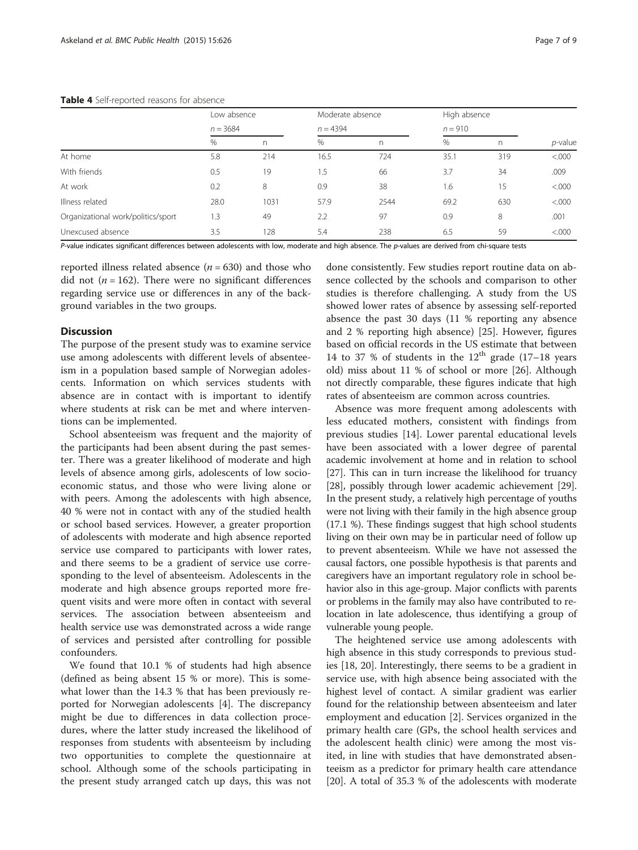#### Table 4 Self-reported

<span id="page-6-0"></span>

| Table 4 Self-reported reasons for absence |               |                           |      |                                |      |                           |                 |  |  |
|-------------------------------------------|---------------|---------------------------|------|--------------------------------|------|---------------------------|-----------------|--|--|
|                                           |               | Low absence<br>$n = 3684$ |      | Moderate absence<br>$n = 4394$ |      | High absence<br>$n = 910$ |                 |  |  |
|                                           |               |                           |      |                                |      |                           |                 |  |  |
|                                           | $\frac{0}{0}$ | n                         | $\%$ |                                | %    |                           | <i>p</i> -value |  |  |
| At home                                   | 5.8           | 214                       | 16.5 | 724                            | 35.1 | 319                       | &000            |  |  |
| With friends                              | 0.5           | 19                        |      | 66                             | 3.7  | 34                        | .009            |  |  |

P-value indicates significant differences between adolescents with low, moderate and high absence. The p-values are derived from chi-square tests

At work 0.2 8 0.9 38 1.6 15 <.000 Illness related 28.0 1031 57.9 2544 69.2 630 <.000 Organizational work/politics/sport 1.3 49 2.2 97 0.9 8 .001 Unexcused absence 3.5 128 5.4 238 6.5 59 <.000

reported illness related absence  $(n = 630)$  and those who did not ( $n = 162$ ). There were no significant differences regarding service use or differences in any of the background variables in the two groups.

# **Discussion**

The purpose of the present study was to examine service use among adolescents with different levels of absenteeism in a population based sample of Norwegian adolescents. Information on which services students with absence are in contact with is important to identify where students at risk can be met and where interventions can be implemented.

School absenteeism was frequent and the majority of the participants had been absent during the past semester. There was a greater likelihood of moderate and high levels of absence among girls, adolescents of low socioeconomic status, and those who were living alone or with peers. Among the adolescents with high absence, 40 % were not in contact with any of the studied health or school based services. However, a greater proportion of adolescents with moderate and high absence reported service use compared to participants with lower rates, and there seems to be a gradient of service use corresponding to the level of absenteeism. Adolescents in the moderate and high absence groups reported more frequent visits and were more often in contact with several services. The association between absenteeism and health service use was demonstrated across a wide range of services and persisted after controlling for possible confounders.

We found that 10.1 % of students had high absence (defined as being absent 15 % or more). This is somewhat lower than the 14.3 % that has been previously reported for Norwegian adolescents [\[4](#page-8-0)]. The discrepancy might be due to differences in data collection procedures, where the latter study increased the likelihood of responses from students with absenteeism by including two opportunities to complete the questionnaire at school. Although some of the schools participating in the present study arranged catch up days, this was not

done consistently. Few studies report routine data on absence collected by the schools and comparison to other studies is therefore challenging. A study from the US showed lower rates of absence by assessing self-reported absence the past 30 days (11 % reporting any absence and 2 % reporting high absence) [[25\]](#page-8-0). However, figures based on official records in the US estimate that between 14 to 37 % of students in the  $12<sup>th</sup>$  grade (17–18 years old) miss about 11 % of school or more [\[26\]](#page-8-0). Although not directly comparable, these figures indicate that high rates of absenteeism are common across countries.

Absence was more frequent among adolescents with less educated mothers, consistent with findings from previous studies [[14\]](#page-8-0). Lower parental educational levels have been associated with a lower degree of parental academic involvement at home and in relation to school [[27](#page-8-0)]. This can in turn increase the likelihood for truancy [[28](#page-8-0)], possibly through lower academic achievement [[29](#page-8-0)]. In the present study, a relatively high percentage of youths were not living with their family in the high absence group (17.1 %). These findings suggest that high school students living on their own may be in particular need of follow up to prevent absenteeism. While we have not assessed the causal factors, one possible hypothesis is that parents and caregivers have an important regulatory role in school behavior also in this age-group. Major conflicts with parents or problems in the family may also have contributed to relocation in late adolescence, thus identifying a group of vulnerable young people.

The heightened service use among adolescents with high absence in this study corresponds to previous studies [[18](#page-8-0), [20\]](#page-8-0). Interestingly, there seems to be a gradient in service use, with high absence being associated with the highest level of contact. A similar gradient was earlier found for the relationship between absenteeism and later employment and education [[2\]](#page-7-0). Services organized in the primary health care (GPs, the school health services and the adolescent health clinic) were among the most visited, in line with studies that have demonstrated absenteeism as a predictor for primary health care attendance [[20\]](#page-8-0). A total of 35.3 % of the adolescents with moderate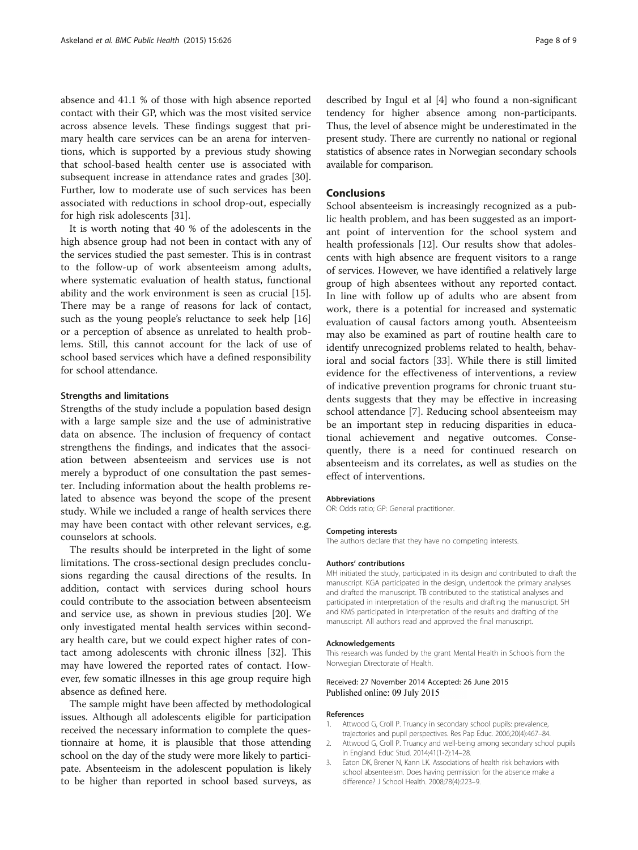<span id="page-7-0"></span>absence and 41.1 % of those with high absence reported contact with their GP, which was the most visited service across absence levels. These findings suggest that primary health care services can be an arena for interventions, which is supported by a previous study showing that school-based health center use is associated with subsequent increase in attendance rates and grades [\[30](#page-8-0)]. Further, low to moderate use of such services has been associated with reductions in school drop-out, especially for high risk adolescents [[31\]](#page-8-0).

It is worth noting that 40 % of the adolescents in the high absence group had not been in contact with any of the services studied the past semester. This is in contrast to the follow-up of work absenteeism among adults, where systematic evaluation of health status, functional ability and the work environment is seen as crucial [\[15](#page-8-0)]. There may be a range of reasons for lack of contact, such as the young people's reluctance to seek help [[16](#page-8-0)] or a perception of absence as unrelated to health problems. Still, this cannot account for the lack of use of school based services which have a defined responsibility for school attendance.

#### Strengths and limitations

Strengths of the study include a population based design with a large sample size and the use of administrative data on absence. The inclusion of frequency of contact strengthens the findings, and indicates that the association between absenteeism and services use is not merely a byproduct of one consultation the past semester. Including information about the health problems related to absence was beyond the scope of the present study. While we included a range of health services there may have been contact with other relevant services, e.g. counselors at schools.

The results should be interpreted in the light of some limitations. The cross-sectional design precludes conclusions regarding the causal directions of the results. In addition, contact with services during school hours could contribute to the association between absenteeism and service use, as shown in previous studies [[20\]](#page-8-0). We only investigated mental health services within secondary health care, but we could expect higher rates of contact among adolescents with chronic illness [\[32](#page-8-0)]. This may have lowered the reported rates of contact. However, few somatic illnesses in this age group require high absence as defined here.

The sample might have been affected by methodological issues. Although all adolescents eligible for participation received the necessary information to complete the questionnaire at home, it is plausible that those attending school on the day of the study were more likely to participate. Absenteeism in the adolescent population is likely to be higher than reported in school based surveys, as described by Ingul et al [[4\]](#page-8-0) who found a non-significant tendency for higher absence among non-participants. Thus, the level of absence might be underestimated in the present study. There are currently no national or regional statistics of absence rates in Norwegian secondary schools available for comparison.

# Conclusions

School absenteeism is increasingly recognized as a public health problem, and has been suggested as an important point of intervention for the school system and health professionals [[12\]](#page-8-0). Our results show that adolescents with high absence are frequent visitors to a range of services. However, we have identified a relatively large group of high absentees without any reported contact. In line with follow up of adults who are absent from work, there is a potential for increased and systematic evaluation of causal factors among youth. Absenteeism may also be examined as part of routine health care to identify unrecognized problems related to health, behavioral and social factors [[33\]](#page-8-0). While there is still limited evidence for the effectiveness of interventions, a review of indicative prevention programs for chronic truant students suggests that they may be effective in increasing school attendance [[7\]](#page-8-0). Reducing school absenteeism may be an important step in reducing disparities in educational achievement and negative outcomes. Consequently, there is a need for continued research on absenteeism and its correlates, as well as studies on the effect of interventions.

#### Abbreviations

OR: Odds ratio; GP: General practitioner.

#### Competing interests

The authors declare that they have no competing interests.

#### Authors' contributions

MH initiated the study, participated in its design and contributed to draft the manuscript. KGA participated in the design, undertook the primary analyses and drafted the manuscript. TB contributed to the statistical analyses and participated in interpretation of the results and drafting the manuscript. SH and KMS participated in interpretation of the results and drafting of the manuscript. All authors read and approved the final manuscript.

#### Acknowledgements

This research was funded by the grant Mental Health in Schools from the Norwegian Directorate of Health.

#### Received: 27 November 2014 Accepted: 26 June 2015 Published online: 09 July 2015

#### References

- 1. Attwood G, Croll P. Truancy in secondary school pupils: prevalence, trajectories and pupil perspectives. Res Pap Educ. 2006;20(4):467–84.
- 2. Attwood G, Croll P. Truancy and well-being among secondary school pupils in England. Educ Stud. 2014;41(1-2):14–28.
- 3. Eaton DK, Brener N, Kann LK. Associations of health risk behaviors with school absenteeism. Does having permission for the absence make a difference? J School Health. 2008;78(4):223–9.